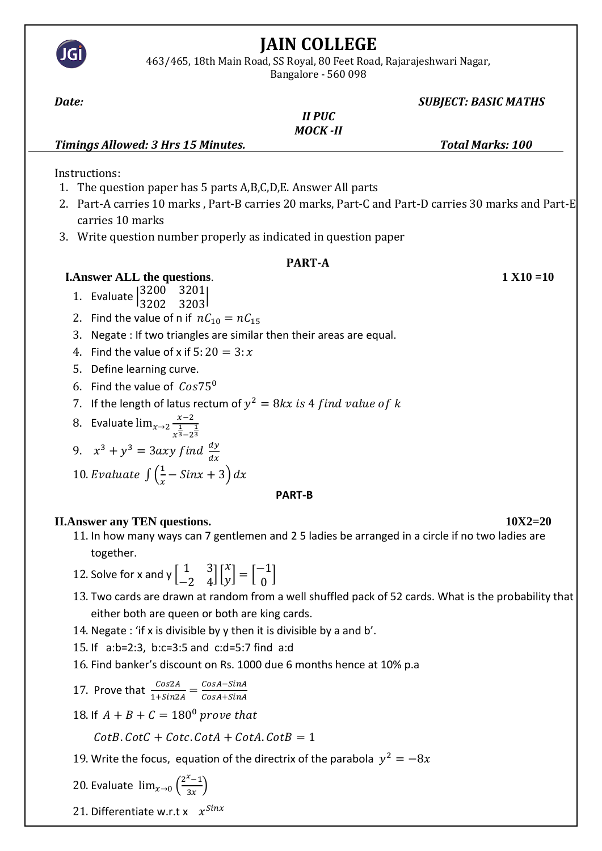

17. Prove that  $\frac{Cos2A}{1+Sin2A} = \frac{CosA-SinA}{CosA+SinA}$  $CosA + SinA$ 

18. If  $A + B + C = 180^{\circ}$  prove that

 $CotB$ .  $CotC + Cotc$ .  $CotA + CotA$ .  $CotB = 1$ 

19. Write the focus, equation of the directrix of the parabola  $y^2 = -8x$ 

20. Evaluate  $\lim_{x\to 0} \left(\frac{2^x-1}{2^x}\right)$  $\frac{-1}{3x}$ 

21. Differentiate w.r.t x  $x^{Sinx}$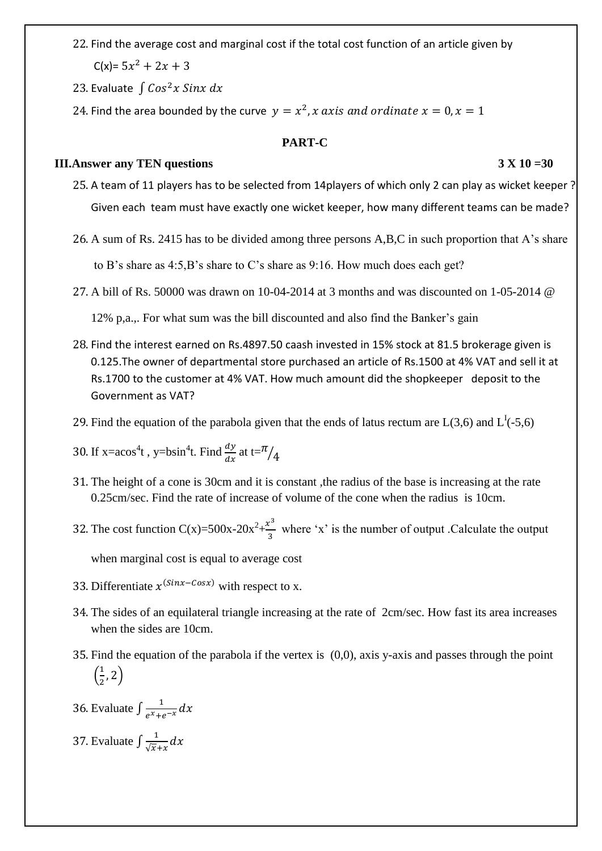22. Find the average cost and marginal cost if the total cost function of an article given by  $C(x)= 5x^2 + 2x + 3$ 

23. Evaluate  $\int$  Cos<sup>2</sup>x Sinx dx

24. Find the area bounded by the curve  $y = x^2$ , x axis and ordinate  $x = 0$ ,  $x = 1$ 

# **PART-C**

# **III.Answer any TEN questions 3 X 10 =30**

- 25. A team of 11 players has to be selected from 14players of which only 2 can play as wicket keeper ? Given each team must have exactly one wicket keeper, how many different teams can be made?
- 26. A sum of Rs. 2415 has to be divided among three persons A,B,C in such proportion that A's share to B's share as 4:5,B's share to C's share as 9:16. How much does each get?
- 27. A bill of Rs. 50000 was drawn on 10-04-2014 at 3 months and was discounted on 1-05-2014 @

12% p,a.,. For what sum was the bill discounted and also find the Banker's gain

- 28. Find the interest earned on Rs.4897.50 caash invested in 15% stock at 81.5 brokerage given is 0.125.The owner of departmental store purchased an article of Rs.1500 at 4% VAT and sell it at Rs.1700 to the customer at 4% VAT. How much amount did the shopkeeper deposit to the Government as VAT?
- 29. Find the equation of the parabola given that the ends of latus rectum are  $L(3,6)$  and  $L^1(-5,6)$
- 30. If x=acos<sup>4</sup>t, y=bsin<sup>4</sup>t. Find  $\frac{dy}{dx}$  at t= $\frac{\pi}{4}$
- 31. The height of a cone is 30cm and it is constant ,the radius of the base is increasing at the rate 0.25cm/sec. Find the rate of increase of volume of the cone when the radius is 10cm.
- 32. The cost function  $C(x)=500x-20x^2+\frac{x^3}{2}$  $\frac{1}{3}$  where 'x' is the number of output .Calculate the output

when marginal cost is equal to average cost

- 33. Differentiate  $x^{(Sinx-Cosx)}$  with respect to x.
- 34. The sides of an equilateral triangle increasing at the rate of 2cm/sec. How fast its area increases when the sides are 10cm.
- 35. Find the equation of the parabola if the vertex is (0,0), axis y-axis and passes through the point  $\left(\frac{1}{2}\right)$  $(\frac{1}{2}, 2)$
- 36. Evaluate  $\int \frac{1}{x}$  $\frac{1}{e^{x}+e^{-x}}dx$

37. Evaluate  $\int \frac{1}{\sqrt{2}}$  $\frac{1}{\sqrt{x}+x}dx$